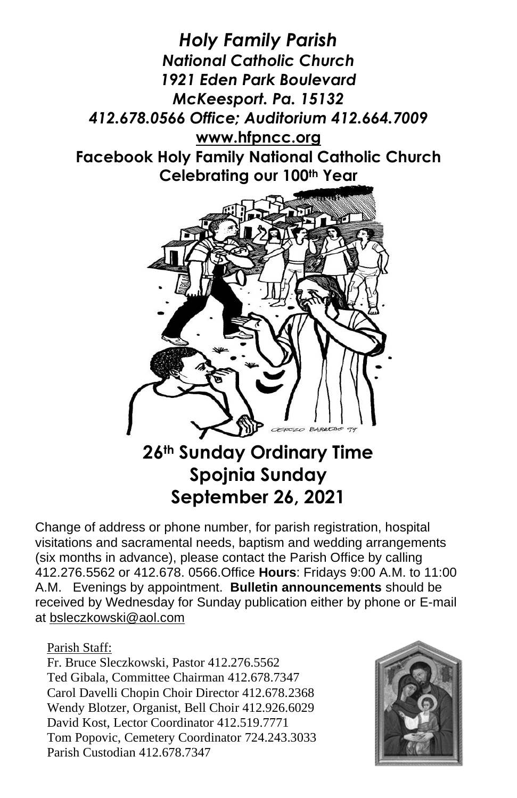

# **Spojnia Sunday September 26, 2021**

Change of address or phone number, for parish registration, hospital visitations and sacramental needs, baptism and wedding arrangements (six months in advance), please contact the Parish Office by calling 412.276.5562 or 412.678. 0566.Office **Hours**: Fridays 9:00 A.M. to 11:00 A.M. Evenings by appointment. **Bulletin announcements** should be received by Wednesday for Sunday publication either by phone or E-mail at [bsleczkowski@aol.com](mailto:bsleczkowski@aol.com)

Parish Staff:

Fr. Bruce Sleczkowski, Pastor 412.276.5562 Ted Gibala, Committee Chairman 412.678.7347 Carol Davelli Chopin Choir Director 412.678.2368 Wendy Blotzer, Organist, Bell Choir 412.926.6029 David Kost, Lector Coordinator 412.519.7771 Tom Popovic, Cemetery Coordinator 724.243.3033 Parish Custodian 412.678.7347

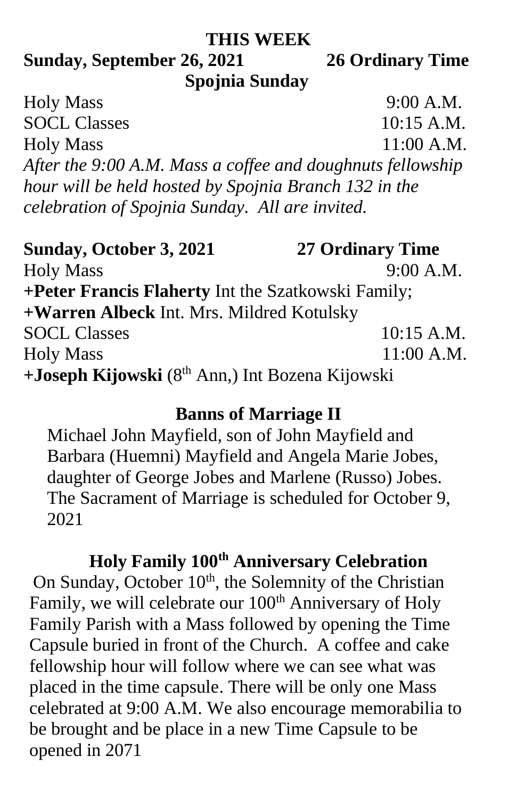#### **THIS WEEK**

#### **Sunday, September 26, 2021 26 Ordinary Time Spojnia Sunday**

Holy Mass 9:00 A.M. SOCL Classes 10:15 A.M. Holy Mass 11:00 A.M. *After the 9:00 A.M. Mass a coffee and doughnuts fellowship hour will be held hosted by Spojnia Branch 132 in the celebration of Spojnia Sunday. All are invited.*

**Sunday, October 3, 2021 27 Ordinary Time** Holy Mass 9:00 A.M. **+Peter Francis Flaherty** Int the Szatkowski Family; **+Warren Albeck** Int. Mrs. Mildred Kotulsky SOCL Classes 10:15 A.M. Holy Mass 11:00 A.M. **+Joseph Kijowski** (8th Ann,) Int Bozena Kijowski

#### **Banns of Marriage II**

Michael John Mayfield, son of John Mayfield and Barbara (Huemni) Mayfield and Angela Marie Jobes, daughter of George Jobes and Marlene (Russo) Jobes. The Sacrament of Marriage is scheduled for October 9, 2021

## **Holy Family 100th Anniversary Celebration**

On Sunday, October  $10<sup>th</sup>$ , the Solemnity of the Christian Family, we will celebrate our 100<sup>th</sup> Anniversary of Holy Family Parish with a Mass followed by opening the Time Capsule buried in front of the Church. A coffee and cake fellowship hour will follow where we can see what was placed in the time capsule. There will be only one Mass celebrated at 9:00 A.M. We also encourage memorabilia to be brought and be place in a new Time Capsule to be opened in 2071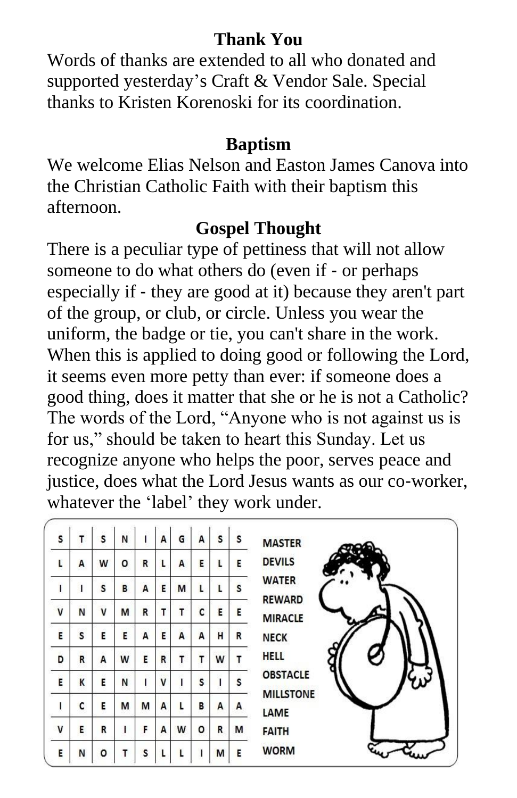#### **Thank You**

Words of thanks are extended to all who donated and supported yesterday's Craft & Vendor Sale. Special thanks to Kristen Korenoski for its coordination.

## **Baptism**

We welcome Elias Nelson and Easton James Canova into the Christian Catholic Faith with their baptism this afternoon.

## **Gospel Thought**

There is a peculiar type of pettiness that will not allow someone to do what others do (even if - or perhaps especially if - they are good at it) because they aren't part of the group, or club, or circle. Unless you wear the uniform, the badge or tie, you can't share in the work. When this is applied to doing good or following the Lord, it seems even more petty than ever: if someone does a good thing, does it matter that she or he is not a Catholic? The words of the Lord, "Anyone who is not against us is for us," should be taken to heart this Sunday. Let us recognize anyone who helps the poor, serves peace and justice, does what the Lord Jesus wants as our co-worker, whatever the 'label' they work under.

| S            | т | b.<br>S | N |   | A | G | Α | S | S | <b>MASTER</b>                   |
|--------------|---|---------|---|---|---|---|---|---|---|---------------------------------|
| Ļ            | A | W       | о | R |   | A | E | L | E | <b>DEVILS</b>                   |
| I            | ı | S       | в | А | E | M | L | L | s | <b>WATER</b>                    |
| $\mathsf{V}$ | N | V       | M | R | т | T | c | E | E | <b>REWARD</b><br><b>MIRACLE</b> |
| E            | S | E       | E | A | E | A | A | н | R | <b>NECK</b>                     |
| D            | R | A       | W | E | R | т | т | W | т | <b>HELL</b>                     |
| E            | K | E       | N |   | v | I | s |   | S | <b>OBSTACLE</b>                 |
| I            | C | E       | M | M | A | L | B | A | A | <b>MILLSTONE</b><br>LAME        |
| V            | E | R       | ı | F | A | W | о | R | M | <b>FAITH</b>                    |
| E            | N | ٥       |   | S |   | L |   | M | E | <b>WORM</b>                     |